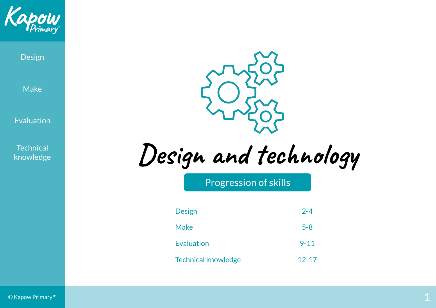

Design

Make

Evaluation

**Technical** knowledge



**Design and technology**

Progression of skills

| <b>Design</b>              | $2 - 4$   |
|----------------------------|-----------|
| <b>Make</b>                | $5 - 8$   |
| <b>Evaluation</b>          | $9 - 11$  |
| <b>Technical knowledge</b> | $12 - 17$ |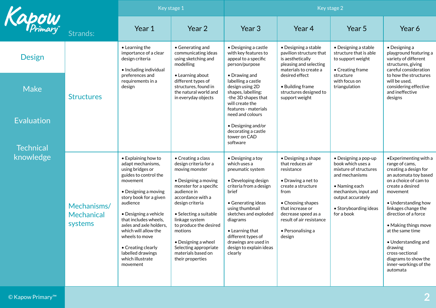<span id="page-1-0"></span>

|                                       |                                             | Key stage 1                                                                                                                                                                                                                                                                                                                                                       |                                                                                                                                                                                                                                                                                                                                                   | Key stage 2                                                                                                                                                                                                                                                                                                  |                                                                                                                                                                                                                                              |                                                                                                                                                                                                   |                                                                                                                                                                                                                                                                                                                                                                                         |
|---------------------------------------|---------------------------------------------|-------------------------------------------------------------------------------------------------------------------------------------------------------------------------------------------------------------------------------------------------------------------------------------------------------------------------------------------------------------------|---------------------------------------------------------------------------------------------------------------------------------------------------------------------------------------------------------------------------------------------------------------------------------------------------------------------------------------------------|--------------------------------------------------------------------------------------------------------------------------------------------------------------------------------------------------------------------------------------------------------------------------------------------------------------|----------------------------------------------------------------------------------------------------------------------------------------------------------------------------------------------------------------------------------------------|---------------------------------------------------------------------------------------------------------------------------------------------------------------------------------------------------|-----------------------------------------------------------------------------------------------------------------------------------------------------------------------------------------------------------------------------------------------------------------------------------------------------------------------------------------------------------------------------------------|
| Kapow                                 | Strands:                                    | Year 1                                                                                                                                                                                                                                                                                                                                                            | Year 2                                                                                                                                                                                                                                                                                                                                            | Year <sub>3</sub>                                                                                                                                                                                                                                                                                            | Year 4                                                                                                                                                                                                                                       | Year 5                                                                                                                                                                                            | Year 6                                                                                                                                                                                                                                                                                                                                                                                  |
| <b>Design</b>                         |                                             | • Learning the<br>importance of a clear<br>design criteria<br>• Including individual                                                                                                                                                                                                                                                                              | • Generating and<br>communicating ideas<br>using sketching and<br>modelling                                                                                                                                                                                                                                                                       | • Designing a castle<br>with key features to<br>appeal to a specific<br>person/purpose                                                                                                                                                                                                                       | • Designing a stable<br>pavilion structure that<br>is aesthetically<br>pleasing and selecting<br>materials to create a                                                                                                                       | • Designing a stable<br>structure that is able<br>to support weight<br>• Creating frame                                                                                                           | $\bullet$ Designing a<br>playground featuring a<br>variety of different<br>structures, giving<br>careful consideration                                                                                                                                                                                                                                                                  |
| <b>Make</b>                           | <b>Structures</b>                           | preferences and<br>requirements in a<br>design                                                                                                                                                                                                                                                                                                                    | • Learning about<br>different types of<br>structures, found in<br>the natural world and<br>in everyday objects                                                                                                                                                                                                                                    | • Drawing and<br>labelling a castle<br>design using 2D<br>shapes, labelling:<br>-the 3D shapes that<br>will create the<br>features - materials                                                                                                                                                               | desired effect<br>• Building frame<br>structures designed to<br>support weight                                                                                                                                                               | structure<br>with focus on<br>triangulation                                                                                                                                                       | to how the structures<br>will be used,<br>considering effective<br>and ineffective<br>designs                                                                                                                                                                                                                                                                                           |
| <b>Evaluation</b><br><b>Technical</b> |                                             |                                                                                                                                                                                                                                                                                                                                                                   |                                                                                                                                                                                                                                                                                                                                                   | need and colours<br>• Designing and/or<br>decorating a castle<br>tower on CAD<br>software                                                                                                                                                                                                                    |                                                                                                                                                                                                                                              |                                                                                                                                                                                                   |                                                                                                                                                                                                                                                                                                                                                                                         |
| knowledge                             | Mechanisms/<br><b>Mechanical</b><br>systems | • Explaining how to<br>adapt mechanisms,<br>using bridges or<br>guides to control the<br>movement<br>• Designing a moving<br>story book for a given<br>audience<br>• Designing a vehicle<br>that includes wheels,<br>axles and axle holders,<br>which will allow the<br>wheels to move<br>• Creating clearly<br>labelled drawings<br>which illustrate<br>movement | • Creating a class<br>design criteria for a<br>moving monster<br>• Designing a moving<br>monster for a specific<br>audience in<br>accordance with a<br>design criteria<br>• Selecting a suitable<br>linkage system<br>to produce the desired<br>motions<br>• Designing a wheel<br>Selecting appropriate<br>materials based on<br>their properties | $\bullet$ Designing a toy<br>which uses a<br>pneumatic system<br>• Developing design<br>criteria from a design<br>brief<br>• Generating ideas<br>using thumbnail<br>sketches and exploded<br>diagrams<br>• Learning that<br>different types of<br>drawings are used in<br>design to explain ideas<br>clearly | • Designing a shape<br>that reduces air<br>resistance<br>$\bullet$ Drawing a net to<br>create a structure<br>from<br>• Choosing shapes<br>that increase or<br>decrease speed as a<br>result of air resistance<br>• Personalising a<br>design | • Designing a pop-up<br>book which uses a<br>mixture of structures<br>and mechanisms<br>$\bullet$ Naming each<br>mechanism, input and<br>output accurately<br>• Storyboarding ideas<br>for a book | • Experimenting with a<br>range of cams,<br>creating a design for<br>an automata toy based<br>on a choice of cam to<br>create a desired<br>movement<br>• Understanding how<br>linkages change the<br>direction of a force<br>• Making things move<br>at the same time<br>• Understanding and<br>drawing<br>cross-sectional<br>diagrams to show the<br>inner-workings of the<br>automata |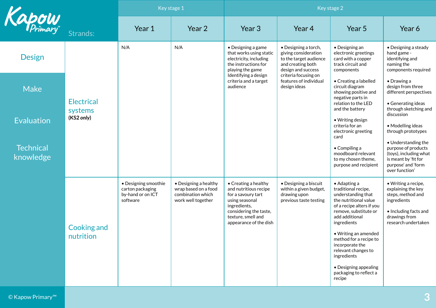|                               |                                                                                                                                                            | Key stage 1                                                                              |                                                                                                                                                                                         | Key stage 2                                                                                                         |                                                                                                                                                                                   |                                                                                                                                                |                                                                                             |
|-------------------------------|------------------------------------------------------------------------------------------------------------------------------------------------------------|------------------------------------------------------------------------------------------|-----------------------------------------------------------------------------------------------------------------------------------------------------------------------------------------|---------------------------------------------------------------------------------------------------------------------|-----------------------------------------------------------------------------------------------------------------------------------------------------------------------------------|------------------------------------------------------------------------------------------------------------------------------------------------|---------------------------------------------------------------------------------------------|
| Kapow                         | Strands:                                                                                                                                                   | Year 1                                                                                   | Year 2                                                                                                                                                                                  | Year 3                                                                                                              | Year 4                                                                                                                                                                            | Year 5                                                                                                                                         | Year 6                                                                                      |
| <b>Design</b>                 |                                                                                                                                                            | N/A                                                                                      | N/A                                                                                                                                                                                     | • Designing a game<br>that works using static<br>electricity, including<br>the instructions for<br>playing the game | • Designing a torch,<br>giving consideration<br>to the target audience<br>and creating both<br>design and success                                                                 | $\bullet$ Designing an<br>electronic greetings<br>card with a copper<br>track circuit and<br>components                                        | • Designing a steady<br>hand game -<br>identifying and<br>naming the<br>components required |
| <b>Make</b>                   | <b>Electrical</b><br>systems<br>(KS2 only)<br>• Designing smoothie<br>carton packaging<br>by-hand or on ICT<br>software<br><b>Cooking and</b><br>nutrition |                                                                                          |                                                                                                                                                                                         | Identifying a design<br>criteria and a target<br>audience                                                           | criteria focusing on<br>features of individual<br>design ideas                                                                                                                    | • Creating a labelled<br>circuit diagram<br>showing positive and<br>negative parts in<br>relation to the LED                                   | $\bullet$ Drawing a<br>design from three<br>different perspectives<br>• Generating ideas    |
| Evaluation                    |                                                                                                                                                            |                                                                                          |                                                                                                                                                                                         |                                                                                                                     |                                                                                                                                                                                   | and the battery<br>• Writing design<br>criteria for an<br>electronic greeting<br>card                                                          | through sketching and<br>discussion<br>• Modelling ideas<br>through prototypes              |
| <b>Technical</b><br>knowledge |                                                                                                                                                            |                                                                                          |                                                                                                                                                                                         |                                                                                                                     | $\bullet$ Compiling a<br>moodboard relevant<br>to my chosen theme,<br>purpose and recipient                                                                                       | • Understanding the<br>purpose of products<br>(toys), including what<br>is meant by 'fit for<br>purpose' and 'form<br>over function'           |                                                                                             |
|                               |                                                                                                                                                            | • Designing a healthy<br>wrap based on a food<br>combination which<br>work well together | $\bullet$ Creating a healthy<br>and nutritious recipe<br>for a savoury tart<br>using seasonal<br>ingredients,<br>considering the taste,<br>texture, smell and<br>appearance of the dish | • Designing a biscuit<br>within a given budget,<br>drawing upon<br>previous taste testing                           | $\bullet$ Adapting a<br>traditional recipe,<br>understanding that<br>the nutritional value<br>of a recipe alters if you<br>remove, substitute or<br>add additional<br>ingredients | • Writing a recipe,<br>explaining the key<br>steps, method and<br>ingredients<br>• Including facts and<br>drawings from<br>research undertaken |                                                                                             |
|                               |                                                                                                                                                            |                                                                                          |                                                                                                                                                                                         |                                                                                                                     |                                                                                                                                                                                   | • Writing an amended<br>method for a recipe to<br>incorporate the<br>relevant changes to<br>ingredients                                        |                                                                                             |
|                               |                                                                                                                                                            |                                                                                          |                                                                                                                                                                                         |                                                                                                                     |                                                                                                                                                                                   | • Designing appealing<br>packaging to reflect a<br>recipe                                                                                      |                                                                                             |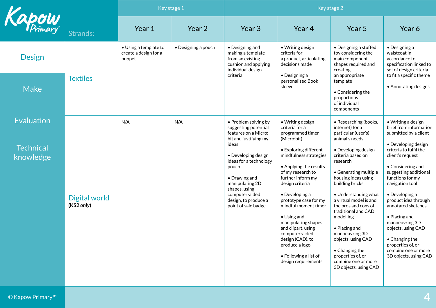|                                                    |                                    | Key stage 1                                              |                     | Key stage 2                                                                                                                                                                                                                                                                            |                                                                                                                                                                                                                                                                                                                                                                                                                                                                |                                                                                                                                                                                                                                                                                                                                                                                                                                                                            |                                                                                                                                                                                                                                                                                                                                                                                                                                                 |  |
|----------------------------------------------------|------------------------------------|----------------------------------------------------------|---------------------|----------------------------------------------------------------------------------------------------------------------------------------------------------------------------------------------------------------------------------------------------------------------------------------|----------------------------------------------------------------------------------------------------------------------------------------------------------------------------------------------------------------------------------------------------------------------------------------------------------------------------------------------------------------------------------------------------------------------------------------------------------------|----------------------------------------------------------------------------------------------------------------------------------------------------------------------------------------------------------------------------------------------------------------------------------------------------------------------------------------------------------------------------------------------------------------------------------------------------------------------------|-------------------------------------------------------------------------------------------------------------------------------------------------------------------------------------------------------------------------------------------------------------------------------------------------------------------------------------------------------------------------------------------------------------------------------------------------|--|
| Kapow                                              | Strands:                           | Year 1                                                   | Year 2              | Year 3                                                                                                                                                                                                                                                                                 | Year 4                                                                                                                                                                                                                                                                                                                                                                                                                                                         | Year 5                                                                                                                                                                                                                                                                                                                                                                                                                                                                     | Year 6                                                                                                                                                                                                                                                                                                                                                                                                                                          |  |
| <b>Design</b>                                      |                                    | • Using a template to<br>create a design for a<br>puppet | • Designing a pouch | • Designing and<br>making a template<br>from an existing<br>cushion and applying<br>individual design                                                                                                                                                                                  | • Writing design<br>criteria for<br>a product, articulating<br>decisions made                                                                                                                                                                                                                                                                                                                                                                                  | • Designing a stuffed<br>toy considering the<br>main component<br>shapes required and<br>creating                                                                                                                                                                                                                                                                                                                                                                          | $\bullet$ Designing a<br>waistcoat in<br>accordance to<br>specification linked to<br>set of design criteria                                                                                                                                                                                                                                                                                                                                     |  |
| <b>Make</b>                                        | <b>Textiles</b>                    |                                                          |                     | criteria                                                                                                                                                                                                                                                                               | $\bullet$ Designing a<br>personalised Book<br>sleeve                                                                                                                                                                                                                                                                                                                                                                                                           | an appropriate<br>template<br>• Considering the<br>proportions<br>of individual<br>components                                                                                                                                                                                                                                                                                                                                                                              | to fit a specific theme<br>• Annotating designs                                                                                                                                                                                                                                                                                                                                                                                                 |  |
| <b>Evaluation</b><br><b>Technical</b><br>knowledge | <b>Digital world</b><br>(KS2 only) | N/A                                                      | N/A                 | • Problem solving by<br>suggesting potential<br>features on a Micro:<br>bit and justifying my<br>ideas<br>• Developing design<br>ideas for a technology<br>pouch<br>• Drawing and<br>manipulating 2D<br>shapes, using<br>computer-aided<br>design, to produce a<br>point of sale badge | • Writing design<br>criteria for a<br>programmed timer<br>(Micro:bit)<br>• Exploring different<br>mindfulness strategies<br>• Applying the results<br>of my research to<br>further inform my<br>design criteria<br>• Developing a<br>prototype case for my<br>mindful moment timer<br>$\bullet$ Using and<br>manipulating shapes<br>and clipart, using<br>computer-aided<br>design (CAD), to<br>produce a logo<br>• Following a list of<br>design requirements | • Researching (books,<br>internet) for a<br>particular (user's)<br>animal's needs<br>• Developing design<br>criteria based on<br>research<br>• Generating multiple<br>housing ideas using<br>building bricks<br>• Understanding what<br>a virtual model is and<br>the pros and cons of<br>traditional and CAD<br>modelling<br>• Placing and<br>manoeuvring 3D<br>objects, using CAD<br>• Changing the<br>properties of, or<br>combine one or more<br>3D objects, using CAD | • Writing a design<br>brief from information<br>submitted by a client<br>• Developing design<br>criteria to fulfil the<br>client's request<br>• Considering and<br>suggesting additional<br>functions for my<br>navigation tool<br>• Developing a<br>product idea through<br>annotated sketches<br>• Placing and<br>manoeuvring 3D<br>objects, using CAD<br>• Changing the<br>properties of, or<br>combine one or more<br>3D objects, using CAD |  |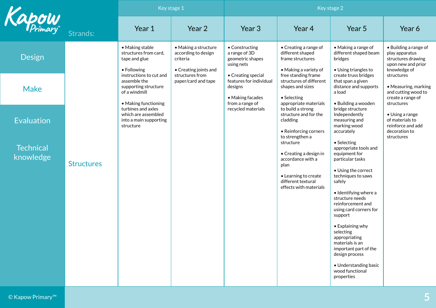<span id="page-4-0"></span>

|                               |                   | Key stage 1                                                                                              |                                                                                  | Key stage 2                                                                                     |                                                                                                                                                             |                                                                                                                                                                                                                                                                                                                                                                                                                          |                                                                                                     |  |
|-------------------------------|-------------------|----------------------------------------------------------------------------------------------------------|----------------------------------------------------------------------------------|-------------------------------------------------------------------------------------------------|-------------------------------------------------------------------------------------------------------------------------------------------------------------|--------------------------------------------------------------------------------------------------------------------------------------------------------------------------------------------------------------------------------------------------------------------------------------------------------------------------------------------------------------------------------------------------------------------------|-----------------------------------------------------------------------------------------------------|--|
| Kapow                         | Strands:          | Year 1                                                                                                   | Year 2                                                                           | Year 3                                                                                          | Year 4                                                                                                                                                      | Year 5                                                                                                                                                                                                                                                                                                                                                                                                                   | Year 6                                                                                              |  |
| <b>Design</b>                 |                   | • Making stable<br>structures from card,<br>tape and glue<br>• Following                                 | • Making a structure<br>according to design<br>criteria<br>• Creating joints and | • Constructing<br>a range of 3D<br>geometric shapes<br>using nets                               | • Creating a range of<br>different shaped<br>frame structures<br>• Making a variety of                                                                      | • Making a range of<br>different shaped beam<br>bridges<br>• Using triangles to                                                                                                                                                                                                                                                                                                                                          | • Building a range of<br>play apparatus<br>structures drawing<br>upon new and prior<br>knowledge of |  |
| <b>Make</b>                   |                   | instructions to cut and<br>assemble the<br>supporting structure<br>of a windmill<br>• Making functioning | structures from<br>paper/card and tape                                           | • Creating special<br>features for individual<br>designs<br>• Making facades<br>from a range of | free standing frame<br>structures of different<br>shapes and sizes<br>• Selecting<br>appropriate materials                                                  | create truss bridges<br>that span a given<br>distance and supports<br>a load<br>• Building a wooden                                                                                                                                                                                                                                                                                                                      | structures<br>• Measuring, marking<br>and cutting wood to<br>create a range of<br>structures        |  |
| <b>Evaluation</b>             |                   | turbines and axles<br>which are assembled<br>into a main supporting<br>structure                         |                                                                                  | recycled materials                                                                              | to build a strong<br>structure and for the<br>cladding<br>• Reinforcing corners                                                                             | bridge structure<br>Independently<br>measuring and<br>marking wood<br>accurately                                                                                                                                                                                                                                                                                                                                         | • Using a range<br>of materials to<br>reinforce and add<br>decoration to                            |  |
| <b>Technical</b><br>knowledge | <b>Structures</b> |                                                                                                          |                                                                                  |                                                                                                 | to strengthen a<br>structure<br>• Creating a design in<br>accordance with a<br>plan<br>• Learning to create<br>different textural<br>effects with materials | • Selecting<br>appropriate tools and<br>equipment for<br>particular tasks<br>• Using the correct<br>techniques to saws<br>safely<br>$\bullet$ Identifying where a<br>structure needs<br>reinforcement and<br>using card corners for<br>support<br>• Explaining why<br>selecting<br>appropriating<br>materials is an<br>important part of the<br>design process<br>• Understanding basic<br>wood functional<br>properties | structures                                                                                          |  |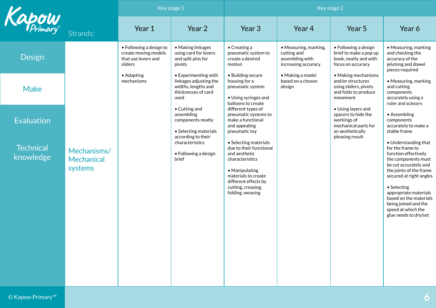|                               |                                      | Key stage 1                                                                       |                                                                                                      | Key stage 2                                                                                                                                                                                     |                                                                                |                                                                                                                         |                                                                                                                                                                                                                                                                                                                 |
|-------------------------------|--------------------------------------|-----------------------------------------------------------------------------------|------------------------------------------------------------------------------------------------------|-------------------------------------------------------------------------------------------------------------------------------------------------------------------------------------------------|--------------------------------------------------------------------------------|-------------------------------------------------------------------------------------------------------------------------|-----------------------------------------------------------------------------------------------------------------------------------------------------------------------------------------------------------------------------------------------------------------------------------------------------------------|
| Kapow                         | Strands:                             | Year 1                                                                            | Year 2                                                                                               | Year 3                                                                                                                                                                                          | Year 4                                                                         | Year 5                                                                                                                  | Year 6                                                                                                                                                                                                                                                                                                          |
| <b>Design</b>                 |                                      | • Following a design to<br>create moving models<br>that use levers and<br>sliders | • Making linkages<br>using card for levers<br>and split pins for<br>pivots                           | $\bullet$ Creating a<br>pneumatic system to<br>create a desired<br>motion                                                                                                                       | • Measuring, marking,<br>cutting and<br>assembling with<br>increasing accuracy | • Following a design<br>brief to make a pop up<br>book, neatly and with<br>focus on accuracy                            | • Measuring, marking<br>and checking the<br>accuracy of the<br>jelutong and dowel<br>pieces required                                                                                                                                                                                                            |
| <b>Make</b>                   |                                      | • Adapting<br>mechanisms                                                          | • Experimenting with<br>linkages adjusting the<br>widths, lengths and<br>thicknesses of card<br>used | • Building secure<br>housing for a<br>pneumatic system<br>• Using syringes and<br>balloons to create                                                                                            | • Making a model<br>based on a chosen<br>design                                | • Making mechanisms<br>and/or structures<br>using sliders, pivots<br>and folds to produce<br>movement                   | • Measuring, marking<br>and cutting<br>components<br>accurately using a<br>ruler and scissors                                                                                                                                                                                                                   |
| <b>Evaluation</b>             |                                      |                                                                                   | • Cutting and<br>assembling<br>components neatly<br>• Selecting materials<br>according to their      | different types of<br>pneumatic systems to<br>make a functional<br>and appealing<br>pneumatic toy                                                                                               |                                                                                | • Using layers and<br>spacers to hide the<br>workings of<br>mechanical parts for<br>an aesthetically<br>pleasing result | • Assembling<br>components<br>accurately to make a<br>stable frame                                                                                                                                                                                                                                              |
| <b>Technical</b><br>knowledge | Mechanisms/<br>Mechanical<br>systems |                                                                                   | characteristics<br>• Following a design<br>brief                                                     | • Selecting materials<br>due to their functional<br>and aesthetic<br>characteristics<br>• Manipulating<br>materials to create<br>different effects by<br>cutting, creasing,<br>folding, weaving |                                                                                |                                                                                                                         | • Understanding that<br>for the frame to<br>function effectively<br>the components must<br>be cut accurately and<br>the joints of the frame<br>secured at right angles<br>• Selecting<br>appropriate materials<br>based on the materials<br>being joined and the<br>speed at which the<br>glue needs to dry/set |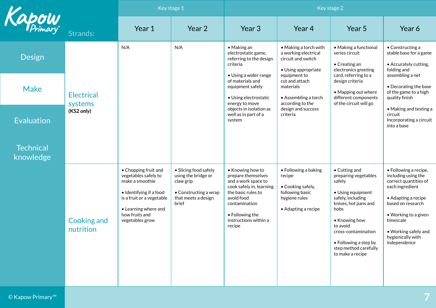|                               |                                 | Key stage 1                                                                                                                                                                          |                                                                                                                    | Key stage 2                                                                                                                                                                                          |                                                                                                                |                                                                                                                                                                                                                                                     |                                                                                                                                                                                                                                        |  |
|-------------------------------|---------------------------------|--------------------------------------------------------------------------------------------------------------------------------------------------------------------------------------|--------------------------------------------------------------------------------------------------------------------|------------------------------------------------------------------------------------------------------------------------------------------------------------------------------------------------------|----------------------------------------------------------------------------------------------------------------|-----------------------------------------------------------------------------------------------------------------------------------------------------------------------------------------------------------------------------------------------------|----------------------------------------------------------------------------------------------------------------------------------------------------------------------------------------------------------------------------------------|--|
| Kapow                         | Strands:                        | Year 1                                                                                                                                                                               | Year 2                                                                                                             | Year 3                                                                                                                                                                                               | Year 4                                                                                                         | Year <sub>5</sub>                                                                                                                                                                                                                                   | Year 6                                                                                                                                                                                                                                 |  |
| Design                        |                                 | N/A                                                                                                                                                                                  | N/A                                                                                                                | $\bullet$ Making an<br>electrostatic game,<br>referring to the design<br>criteria                                                                                                                    | • Making a torch with<br>a working electrical<br>circuit and switch<br>• Using appropriate                     | • Making a functional<br>series circuit<br>• Creating an<br>electronics greeting                                                                                                                                                                    | • Constructing a<br>stable base for a game<br>• Accurately cutting,<br>folding and                                                                                                                                                     |  |
| <b>Make</b>                   | <b>Electrical</b><br>systems    |                                                                                                                                                                                      |                                                                                                                    | • Using a wider range<br>of materials and<br>equipment safely<br>• Using electrostatic<br>energy to move                                                                                             | equipment to<br>cut and attach<br>materials<br>• Assembling a torch<br>according to the                        | card, referring to a<br>design criteria<br>• Mapping out where<br>different components<br>of the circuit will go                                                                                                                                    | assembling a net<br>• Decorating the base<br>of the game to a high<br>quality finish                                                                                                                                                   |  |
| <b>Evaluation</b>             | (KS2 only)                      |                                                                                                                                                                                      |                                                                                                                    | objects in isolation as<br>well as in part of a<br>system                                                                                                                                            | design and success<br>criteria                                                                                 |                                                                                                                                                                                                                                                     | • Making and testing a<br>circuit<br>Incorporating a circuit<br>into a base                                                                                                                                                            |  |
| <b>Technical</b><br>knowledge |                                 |                                                                                                                                                                                      |                                                                                                                    |                                                                                                                                                                                                      |                                                                                                                |                                                                                                                                                                                                                                                     |                                                                                                                                                                                                                                        |  |
|                               | <b>Cooking and</b><br>nutrition | • Chopping fruit and<br>vegetables safely to<br>make a smoothie<br>• Identifying if a food<br>is a fruit or a vegetable<br>• Learning where and<br>how fruits and<br>vegetables grow | • Slicing food safely<br>using the bridge or<br>claw grip<br>• Constructing a wrap<br>that meets a design<br>brief | • Knowing how to<br>prepare themselves<br>and a work space to<br>cook safely in, learning<br>the basic rules to<br>avoid food<br>contamination<br>• Following the<br>instructions within a<br>recipe | • Following a baking<br>recipe<br>• Cooking safely,<br>following basic<br>hygiene rules<br>• Adapting a recipe | • Cutting and<br>preparing vegetables<br>safely<br>• Using equipment<br>safely, including<br>knives, hot pans and<br>hobs<br>• Knowing how<br>to avoid<br>cross-contamination<br>• Following a step by<br>step method carefully<br>to make a recipe | · Following a recipe,<br>including using the<br>correct quantities of<br>each ingredient<br>• Adapting a recipe<br>based on research<br>• Working to a given<br>timescale<br>• Working safely and<br>hygienically with<br>independence |  |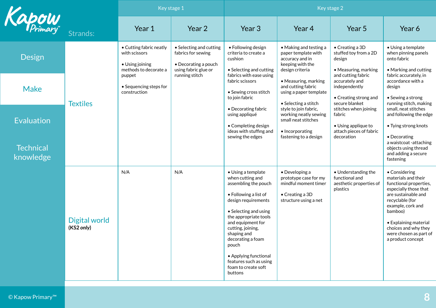|                               |                             | Key stage 1                                                                          |                                                                                               | Key stage 2                                                                                                                                                                                                                                                                                                                                  |                                                                                                                             |                                                                                                  |                                                                                                                                                                                                                                                                   |  |
|-------------------------------|-----------------------------|--------------------------------------------------------------------------------------|-----------------------------------------------------------------------------------------------|----------------------------------------------------------------------------------------------------------------------------------------------------------------------------------------------------------------------------------------------------------------------------------------------------------------------------------------------|-----------------------------------------------------------------------------------------------------------------------------|--------------------------------------------------------------------------------------------------|-------------------------------------------------------------------------------------------------------------------------------------------------------------------------------------------------------------------------------------------------------------------|--|
| Kapow                         | Strands:                    | Year 1                                                                               | Year 2                                                                                        | Year 3                                                                                                                                                                                                                                                                                                                                       | Year 4                                                                                                                      | Year 5                                                                                           | Year 6                                                                                                                                                                                                                                                            |  |
| Design                        |                             | • Cutting fabric neatly<br>with scissors<br>• Using joining<br>methods to decorate a | • Selecting and cutting<br>fabrics for sewing<br>• Decorating a pouch<br>using fabric glue or | • Following design<br>criteria to create a<br>cushion<br>• Selecting and cutting                                                                                                                                                                                                                                                             | • Making and testing a<br>paper template with<br>accuracy and in<br>keeping with the<br>design criteria                     | $\bullet$ Creating a 3D<br>stuffed toy from a 2D<br>design<br>• Measuring, marking               | • Using a template<br>when pinning panels<br>onto fabric<br>• Marking and cutting                                                                                                                                                                                 |  |
| <b>Make</b>                   | <b>Textiles</b>             | puppet<br>• Sequencing steps for<br>construction                                     | running stitch                                                                                | fabrics with ease using<br>fabric scissors<br>• Sewing cross stitch<br>to join fabric                                                                                                                                                                                                                                                        | • Measuring, marking<br>and cutting fabric<br>using a paper template<br>• Selecting a stitch                                | and cutting fabric<br>accurately and<br>independently<br>• Creating strong and<br>secure blanket | fabric accurately, in<br>accordance with a<br>design<br>• Sewing a strong<br>running stitch, making                                                                                                                                                               |  |
| <b>Evaluation</b>             |                             |                                                                                      |                                                                                               | • Decorating fabric<br>using appliqué<br>• Completing design<br>ideas with stuffing and                                                                                                                                                                                                                                                      | style to join fabric,<br>working neatly sewing<br>small neat stitches<br>• Incorporating                                    | stitches when joining<br>fabric<br>$\bullet$ Using applique to<br>attach pieces of fabric        | small, neat stitches<br>and following the edge<br>• Tying strong knots                                                                                                                                                                                            |  |
| <b>Technical</b><br>knowledge |                             |                                                                                      |                                                                                               | sewing the edges                                                                                                                                                                                                                                                                                                                             | fastening to a design                                                                                                       | decoration                                                                                       | • Decorating<br>a waistcoat -attaching<br>objects using thread<br>and adding a secure<br>fastening                                                                                                                                                                |  |
|                               | Digital world<br>(KS2 only) | N/A                                                                                  | N/A                                                                                           | • Using a template<br>when cutting and<br>assembling the pouch<br>• Following a list of<br>design requirements<br>• Selecting and using<br>the appropriate tools<br>and equipment for<br>cutting, joining,<br>shaping and<br>decorating a foam<br>pouch<br>• Applying functional<br>features such as using<br>foam to create soft<br>buttons | $\bullet$ Developing a<br>prototype case for my<br>mindful moment timer<br>$\bullet$ Creating a 3D<br>structure using a net | • Understanding the<br>functional and<br>aesthetic properties of<br>plastics                     | • Considering<br>materials and their<br>functional properties,<br>especially those that<br>are sustainable and<br>recyclable (for<br>example, cork and<br>bamboo)<br>• Explaining material<br>choices and why they<br>were chosen as part of<br>a product concept |  |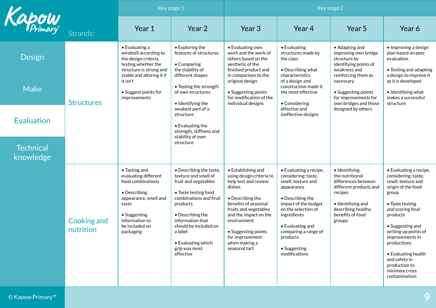<span id="page-8-0"></span>

|                               |                                 | Key stage 1                                                                                                                                                                   |                                                                                                                                                                                                                                                                       | Key stage 2                                                                                                                                                                                                                                                                       |                                                                                                                                                                                                                                                              |                                                                                                                                                                       |                                                                                                                                                                                                                                                                                                                                  |  |
|-------------------------------|---------------------------------|-------------------------------------------------------------------------------------------------------------------------------------------------------------------------------|-----------------------------------------------------------------------------------------------------------------------------------------------------------------------------------------------------------------------------------------------------------------------|-----------------------------------------------------------------------------------------------------------------------------------------------------------------------------------------------------------------------------------------------------------------------------------|--------------------------------------------------------------------------------------------------------------------------------------------------------------------------------------------------------------------------------------------------------------|-----------------------------------------------------------------------------------------------------------------------------------------------------------------------|----------------------------------------------------------------------------------------------------------------------------------------------------------------------------------------------------------------------------------------------------------------------------------------------------------------------------------|--|
| Kapow                         | Strands:                        | Year 1                                                                                                                                                                        | Year 2                                                                                                                                                                                                                                                                | Year 3                                                                                                                                                                                                                                                                            | Year 4                                                                                                                                                                                                                                                       | Year <sub>5</sub>                                                                                                                                                     | Year 6                                                                                                                                                                                                                                                                                                                           |  |
| <b>Design</b>                 |                                 | $\bullet$ Evaluating a<br>windmill according to<br>the design criteria,<br>testing whether the<br>structure is strong and<br>stable and altering it if                        | $\bullet$ Exploring the<br>features of structures<br>• Comparing<br>the stability of<br>different shapes                                                                                                                                                              | • Evaluating own<br>work and the work of<br>others based on the<br>aesthetic of the<br>finished product and<br>in comparison to the                                                                                                                                               | • Evaluating<br>structures made by<br>the class<br>• Describing what<br>characteristics                                                                                                                                                                      | • Adapting and<br>improving own bridge<br>structure by<br>identifying points of<br>weakness and<br>reinforcing them as                                                | • Improving a design<br>plan based on peer<br>evaluation<br>• Testing and adapting<br>a design to improve it                                                                                                                                                                                                                     |  |
| <b>Make</b>                   | <b>Structures</b>               | it isn't<br>• Suggest points for<br>improvements                                                                                                                              | • Testing the strength<br>of own structures<br>• Identifying the<br>weakest part of a                                                                                                                                                                                 | original design<br>• Suggesting points<br>for modification of the<br>individual designs                                                                                                                                                                                           | of a design and<br>construction made it<br>the most effective<br>• Considering<br>effective and                                                                                                                                                              | necessary<br>• Suggesting points<br>for improvements for<br>own bridges and those<br>designed by others                                                               | as it is developed<br>• Identifying what<br>makes a successful<br>structure                                                                                                                                                                                                                                                      |  |
| <b>Evaluation</b>             |                                 |                                                                                                                                                                               | structure<br>$\bullet$ Evaluating the<br>strength, stiffness and<br>stability of own                                                                                                                                                                                  |                                                                                                                                                                                                                                                                                   | ineffective designs                                                                                                                                                                                                                                          |                                                                                                                                                                       |                                                                                                                                                                                                                                                                                                                                  |  |
| <b>Technical</b><br>knowledge |                                 |                                                                                                                                                                               | structure                                                                                                                                                                                                                                                             |                                                                                                                                                                                                                                                                                   |                                                                                                                                                                                                                                                              |                                                                                                                                                                       |                                                                                                                                                                                                                                                                                                                                  |  |
|                               | <b>Cooking and</b><br>nutrition | • Tasting and<br>evaluating different<br>food combinations<br>• Describing<br>appearance, smell and<br>taste<br>• Suggesting<br>information to<br>be included on<br>packaging | • Describing the taste,<br>texture and smell of<br>fruit and vegetables<br>• Taste testing food<br>combinations and final<br>products<br>• Describing the<br>information that<br>should be included on<br>a label<br>• Evaluating which<br>grip was most<br>effective | • Establishing and<br>using design criteria to<br>help test and review<br>dishes<br>$\bullet$ Describing the<br>benefits of seasonal<br>fruits and vegetables<br>and the impact on the<br>environment<br>• Suggesting points<br>for improvement<br>when making a<br>seasonal tart | • Evaluating a recipe,<br>considering: taste,<br>smell, texture and<br>appearance<br>• Describing the<br>impact of the budget<br>on the selection of<br>ingredients<br>• Evaluating and<br>comparing a range of<br>products<br>• Suggesting<br>modifications | · Identifying<br>the nutritional<br>differences between<br>different products and<br>recipes<br>• Identifying and<br>describing healthy<br>benefits of food<br>groups | • Evaluating a recipe,<br>considering: taste,<br>smell, texture and<br>origin of the food<br>group<br>• Taste testing<br>and scoring final<br>products<br>• Suggesting and<br>writing up points of<br>improvements in<br>productions<br>• Evaluating health<br>and safety in<br>production to<br>minimise cross<br>contamination |  |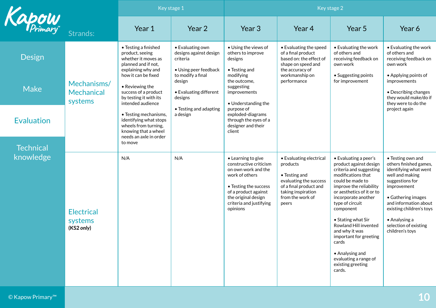|                   |                                             | Key stage 1                                                                                                                        |                                                                                                      | Key stage 2                                                                                                                                                                                          |                                                                                                                                                             |                                                                                                                                                                                                                                                                                                                                                                                                                    |                                                                                                                                                                                                                                                                           |  |
|-------------------|---------------------------------------------|------------------------------------------------------------------------------------------------------------------------------------|------------------------------------------------------------------------------------------------------|------------------------------------------------------------------------------------------------------------------------------------------------------------------------------------------------------|-------------------------------------------------------------------------------------------------------------------------------------------------------------|--------------------------------------------------------------------------------------------------------------------------------------------------------------------------------------------------------------------------------------------------------------------------------------------------------------------------------------------------------------------------------------------------------------------|---------------------------------------------------------------------------------------------------------------------------------------------------------------------------------------------------------------------------------------------------------------------------|--|
| Kapow             | Strands:                                    | Year 1                                                                                                                             | Year 2                                                                                               | Year <sub>3</sub>                                                                                                                                                                                    | Year 4                                                                                                                                                      | Year 5                                                                                                                                                                                                                                                                                                                                                                                                             | Year 6                                                                                                                                                                                                                                                                    |  |
| <b>Design</b>     |                                             | • Testing a finished<br>product, seeing<br>whether it moves as<br>planned and if not,<br>explaining why and<br>how it can be fixed | • Evaluating own<br>designs against design<br>criteria<br>• Using peer feedback<br>to modify a final | • Using the views of<br>others to improve<br>designs<br>$\bullet$ Testing and<br>modifying                                                                                                           | • Evaluating the speed<br>of a final product<br>based on: the effect of<br>shape on speed and<br>the accuracy of<br>workmanship on                          | • Evaluating the work<br>of others and<br>receiving feedback on<br>own work<br>• Suggesting points                                                                                                                                                                                                                                                                                                                 | • Evaluating the work<br>of others and<br>receiving feedback on<br>own work<br>• Applying points of                                                                                                                                                                       |  |
| <b>Make</b>       | Mechanisms/<br><b>Mechanical</b><br>systems | • Reviewing the<br>success of a product<br>by testing it with its<br>intended audience                                             | design<br>• Evaluating different<br>designs                                                          | the outcome,<br>suggesting<br>improvements<br>• Understanding the                                                                                                                                    | performance                                                                                                                                                 | for improvement                                                                                                                                                                                                                                                                                                                                                                                                    | improvements<br>• Describing changes<br>they would make/do if<br>they were to do the                                                                                                                                                                                      |  |
| <b>Evaluation</b> |                                             | • Testing mechanisms,<br>identifying what stops<br>wheels from turning,<br>knowing that a wheel<br>needs an axle in order          | • Testing and adapting<br>a design                                                                   | purpose of<br>exploded-diagrams<br>through the eyes of a<br>designer and their<br>client                                                                                                             |                                                                                                                                                             |                                                                                                                                                                                                                                                                                                                                                                                                                    | project again                                                                                                                                                                                                                                                             |  |
| <b>Technical</b>  |                                             | to move                                                                                                                            |                                                                                                      |                                                                                                                                                                                                      |                                                                                                                                                             |                                                                                                                                                                                                                                                                                                                                                                                                                    |                                                                                                                                                                                                                                                                           |  |
| knowledge         | <b>Electrical</b><br>systems<br>(KS2 only)  | N/A                                                                                                                                | N/A                                                                                                  | • Learning to give<br>constructive criticism<br>on own work and the<br>work of others<br>• Testing the success<br>of a product against<br>the original design<br>criteria and justifying<br>opinions | • Evaluating electrical<br>products<br>• Testing and<br>evaluating the success<br>of a final product and<br>taking inspiration<br>from the work of<br>peers | • Evaluating a peer's<br>product against design<br>criteria and suggesting<br>modifications that<br>could be made to<br>improve the reliability<br>or aesthetics of it or to<br>incorporate another<br>type of circuit<br>component<br>• Stating what Sir<br>Rowland Hill invented<br>and why it was<br>important for greeting<br>cards<br>• Analysing and<br>evaluating a range of<br>existing greeting<br>cards. | • Testing own and<br>others finished games,<br>identifying what went<br>well and making<br>suggestions for<br>improvement<br>• Gathering images<br>and information about<br>existing children's toys<br>$\bullet$ Analysing a<br>selection of existing<br>children's toys |  |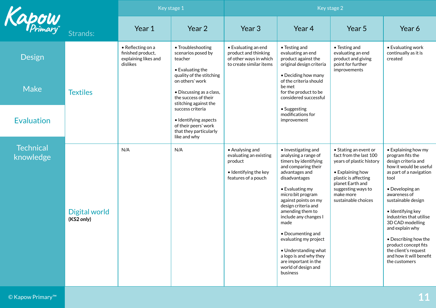|                               |                             | Key stage 1                                                                |                                                                                                             | Key stage 2                                                                                          |                                                                                                                                                                                                                                                                                                                                                                                                                                       |                                                                                                                                                                                                       |                                                                                                                                                                                                                                                                                                                                                                                                         |  |
|-------------------------------|-----------------------------|----------------------------------------------------------------------------|-------------------------------------------------------------------------------------------------------------|------------------------------------------------------------------------------------------------------|---------------------------------------------------------------------------------------------------------------------------------------------------------------------------------------------------------------------------------------------------------------------------------------------------------------------------------------------------------------------------------------------------------------------------------------|-------------------------------------------------------------------------------------------------------------------------------------------------------------------------------------------------------|---------------------------------------------------------------------------------------------------------------------------------------------------------------------------------------------------------------------------------------------------------------------------------------------------------------------------------------------------------------------------------------------------------|--|
| Kapow                         | Strands:                    | Year 1                                                                     | Year 2                                                                                                      | Year 3                                                                                               | Year 4                                                                                                                                                                                                                                                                                                                                                                                                                                | Year 5                                                                                                                                                                                                | Year 6                                                                                                                                                                                                                                                                                                                                                                                                  |  |
| Design                        |                             | • Reflecting on a<br>finished product,<br>explaining likes and<br>dislikes | • Troubleshooting<br>scenarios posed by<br>teacher<br>$\bullet$ Evaluating the<br>quality of the stitching  | • Evaluating an end<br>product and thinking<br>of other ways in which<br>to create similar items     | • Testing and<br>evaluating an end<br>product against the<br>original design criteria<br>• Deciding how many                                                                                                                                                                                                                                                                                                                          | • Testing and<br>evaluating an end<br>product and giving<br>point for further<br>improvements                                                                                                         | • Evaluating work<br>continually as it is<br>created                                                                                                                                                                                                                                                                                                                                                    |  |
| <b>Make</b>                   | <b>Textiles</b>             |                                                                            | on others' work<br>• Discussing as a class,<br>the success of their<br>stitching against the                |                                                                                                      | of the criteria should<br>be met<br>for the product to be<br>considered successful                                                                                                                                                                                                                                                                                                                                                    |                                                                                                                                                                                                       |                                                                                                                                                                                                                                                                                                                                                                                                         |  |
| <b>Evaluation</b>             |                             |                                                                            | success criteria<br>• Identifying aspects<br>of their peers' work<br>that they particularly<br>like and why |                                                                                                      | • Suggesting<br>modifications for<br>improvement                                                                                                                                                                                                                                                                                                                                                                                      |                                                                                                                                                                                                       |                                                                                                                                                                                                                                                                                                                                                                                                         |  |
| <b>Technical</b><br>knowledge | Digital world<br>(KS2 only) | N/A                                                                        | N/A                                                                                                         | • Analysing and<br>evaluating an existing<br>product<br>• Identifying the key<br>features of a pouch | • Investigating and<br>analysing a range of<br>timers by identifying<br>and comparing their<br>advantages and<br>disadvantages<br>• Evaluating my<br>micro:bit program<br>against points on my<br>design criteria and<br>amending them to<br>include any changes I<br>made<br>• Documenting and<br>evaluating my project<br>• Understanding what<br>a logo is and why they<br>are important in the<br>world of design and<br>business | • Stating an event or<br>fact from the last 100<br>years of plastic history<br>• Explaining how<br>plastic is affecting<br>planet Earth and<br>suggesting ways to<br>make more<br>sustainable choices | $\bullet$ Explaining how my<br>program fits the<br>design criteria and<br>how it would be useful<br>as part of a navigation<br>tool<br>• Developing an<br>awareness of<br>sustainable design<br>• Identifying key<br>industries that utilise<br>3D CAD modelling<br>and explain why<br>• Describing how the<br>product concept fits<br>the client's request<br>and how it will benefit<br>the customers |  |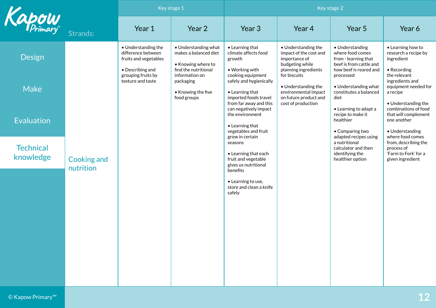<span id="page-11-0"></span>

|                               |                                 | Key stage 1                                                                            |                                                                                                               | Key stage 2                                                                                                                |                                                                                                                           |                                                                                                                               |                                                                                                    |
|-------------------------------|---------------------------------|----------------------------------------------------------------------------------------|---------------------------------------------------------------------------------------------------------------|----------------------------------------------------------------------------------------------------------------------------|---------------------------------------------------------------------------------------------------------------------------|-------------------------------------------------------------------------------------------------------------------------------|----------------------------------------------------------------------------------------------------|
| Kapow                         | Strands:                        | Year 1                                                                                 | Year 2                                                                                                        | Year 3                                                                                                                     | Year 4                                                                                                                    | Year 5                                                                                                                        | Year 6                                                                                             |
| <b>Design</b>                 |                                 | • Understanding the<br>difference between<br>fruits and vegetables<br>• Describing and | • Understanding what<br>makes a balanced diet<br>• Knowing where to<br>find the nutritional<br>information on | • Learning that<br>climate affects food<br>growth<br>• Working with                                                        | • Understanding the<br>impact of the cost and<br>importance of<br>budgeting while<br>planning ingredients<br>for biscuits | • Understanding<br>where food comes<br>from - learning that<br>beef is from cattle and<br>how beef is reared and<br>processed | • Learning how to<br>research a recipe by<br>ingredient<br>• Recording<br>the relevant             |
| <b>Make</b>                   |                                 | grouping fruits by<br>texture and taste                                                | packaging<br>• Knowing the five<br>food groups                                                                | cooking equipment<br>safely and hygienically<br>$\bullet$ Learning that<br>imported foods travel<br>from far away and this | • Understanding the<br>environmental impact<br>on future product and<br>cost of production                                | • Understanding what<br>constitutes a balanced<br>diet                                                                        | ingredients and<br>equipment needed for<br>a recipe<br>• Understanding the                         |
| Evaluation                    |                                 |                                                                                        |                                                                                                               | can negatively impact<br>the environment<br>• Learning that<br>vegetables and fruit<br>grow in certain                     |                                                                                                                           | • Learning to adapt a<br>recipe to make it<br>healthier<br>• Comparing two<br>adapted recipes using                           | combinations of food<br>that will complement<br>one another<br>• Understanding<br>where food comes |
| <b>Technical</b><br>knowledge | <b>Cooking and</b><br>nutrition |                                                                                        |                                                                                                               | seasons<br>• Learning that each<br>fruit and vegetable<br>gives us nutritional                                             |                                                                                                                           | a nutritional<br>calculator and then<br>identifying the<br>healthier option                                                   | from, describing the<br>process of<br>'Farm to Fork' for a<br>given ingredient                     |
|                               |                                 |                                                                                        |                                                                                                               | benefits<br>• Learning to use,<br>store and clean a knife<br>safely                                                        |                                                                                                                           |                                                                                                                               |                                                                                                    |
|                               |                                 |                                                                                        |                                                                                                               |                                                                                                                            |                                                                                                                           |                                                                                                                               |                                                                                                    |
|                               |                                 |                                                                                        |                                                                                                               |                                                                                                                            |                                                                                                                           |                                                                                                                               |                                                                                                    |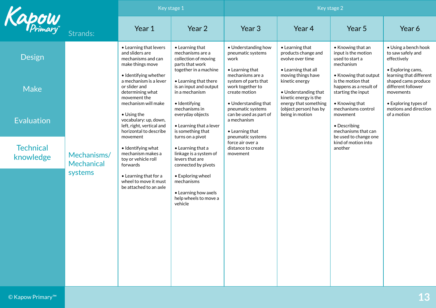|                               |                                      | Key stage 1                                                                                                                                                                                                                                                                                                          |                                                                                                                                                                                                                                                                                              | Key stage 2                                                                                                                                                                                                                                                               |                                                                                                                                                             |                                                                                                                                                                                                                                                   |                                                                                                                                                   |
|-------------------------------|--------------------------------------|----------------------------------------------------------------------------------------------------------------------------------------------------------------------------------------------------------------------------------------------------------------------------------------------------------------------|----------------------------------------------------------------------------------------------------------------------------------------------------------------------------------------------------------------------------------------------------------------------------------------------|---------------------------------------------------------------------------------------------------------------------------------------------------------------------------------------------------------------------------------------------------------------------------|-------------------------------------------------------------------------------------------------------------------------------------------------------------|---------------------------------------------------------------------------------------------------------------------------------------------------------------------------------------------------------------------------------------------------|---------------------------------------------------------------------------------------------------------------------------------------------------|
| Kapow                         | Strands:                             | Year 1                                                                                                                                                                                                                                                                                                               | Year 2                                                                                                                                                                                                                                                                                       | Year 3                                                                                                                                                                                                                                                                    | Year 4                                                                                                                                                      | Year 5                                                                                                                                                                                                                                            | Year 6                                                                                                                                            |
| <b>Design</b>                 |                                      | • Learning that levers<br>and sliders are<br>mechanisms and can<br>make things move                                                                                                                                                                                                                                  | $\bullet$ Learning that<br>mechanisms are a<br>collection of moving<br>parts that work<br>together in a machine                                                                                                                                                                              | • Understanding how<br>pneumatic systems<br>work<br>$\bullet$ Learning that                                                                                                                                                                                               | • Learning that<br>products change and<br>evolve over time<br>• Learning that all                                                                           | • Knowing that an<br>input is the motion<br>used to start a<br>mechanism                                                                                                                                                                          | • Using a bench hook<br>to saw safely and<br>effectively<br>• Exploring cams,                                                                     |
| <b>Make</b>                   |                                      | • Identifying whether<br>a mechanism is a lever<br>or slider and<br>determining what<br>movement the<br>mechanism will make<br>• Using the<br>vocabulary: up, down,<br>left, right, vertical and<br>horizontal to describe<br>movement<br>• Identifying what<br>mechanism makes a<br>toy or vehicle roll<br>forwards | • Learning that there<br>is an input and output<br>in a mechanism<br>· Identifying<br>mechanisms in<br>everyday objects<br>• Learning that a lever<br>is something that<br>turns on a pivot<br>$\bullet$ Learning that a<br>linkage is a system of<br>levers that are<br>connected by pivots | mechanisms are a<br>system of parts that<br>work together to<br>create motion<br>• Understanding that<br>pneumatic systems<br>can be used as part of<br>a mechanism<br>$\bullet$ Learning that<br>pneumatic systems<br>force air over a<br>distance to create<br>movement | moving things have<br>kinetic energy<br>• Understanding that<br>kinetic energy is the<br>energy that something<br>(object person) has by<br>being in motion | • Knowing that output<br>is the motion that<br>happens as a result of<br>starting the input<br>• Knowing that<br>mechanisms control<br>movement<br>• Describing<br>mechanisms that can<br>be used to change one<br>kind of motion into<br>another | learning that different<br>shaped cams produce<br>different follower<br>movements<br>• Exploring types of<br>motions and direction<br>of a motion |
| <b>Evaluation</b>             | Mechanisms/<br>Mechanical<br>systems |                                                                                                                                                                                                                                                                                                                      |                                                                                                                                                                                                                                                                                              |                                                                                                                                                                                                                                                                           |                                                                                                                                                             |                                                                                                                                                                                                                                                   |                                                                                                                                                   |
| <b>Technical</b><br>knowledge |                                      |                                                                                                                                                                                                                                                                                                                      |                                                                                                                                                                                                                                                                                              |                                                                                                                                                                                                                                                                           |                                                                                                                                                             |                                                                                                                                                                                                                                                   |                                                                                                                                                   |
|                               |                                      | • Learning that for a<br>wheel to move it must<br>be attached to an axle                                                                                                                                                                                                                                             | • Exploring wheel<br>mechanisms<br>• Learning how axels<br>help wheels to move a<br>vehicle                                                                                                                                                                                                  |                                                                                                                                                                                                                                                                           |                                                                                                                                                             |                                                                                                                                                                                                                                                   |                                                                                                                                                   |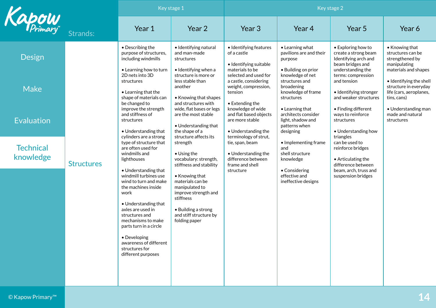|                               |                                                                                                                                                                                                                                                                                                                             | Key stage 1                                                                                                                                                                                                                                                                                                           |                                                                                                                                                                                                                                                                                                                  | Key stage 2                                                                                                                                                                                                                                                                                                            |                                                                                                                                                                                                                                                                   |                                                                                                                                                                                                                                                                                                                     |                                                                                                                                                     |
|-------------------------------|-----------------------------------------------------------------------------------------------------------------------------------------------------------------------------------------------------------------------------------------------------------------------------------------------------------------------------|-----------------------------------------------------------------------------------------------------------------------------------------------------------------------------------------------------------------------------------------------------------------------------------------------------------------------|------------------------------------------------------------------------------------------------------------------------------------------------------------------------------------------------------------------------------------------------------------------------------------------------------------------|------------------------------------------------------------------------------------------------------------------------------------------------------------------------------------------------------------------------------------------------------------------------------------------------------------------------|-------------------------------------------------------------------------------------------------------------------------------------------------------------------------------------------------------------------------------------------------------------------|---------------------------------------------------------------------------------------------------------------------------------------------------------------------------------------------------------------------------------------------------------------------------------------------------------------------|-----------------------------------------------------------------------------------------------------------------------------------------------------|
| <b>apow</b>                   | Strands:                                                                                                                                                                                                                                                                                                                    | Year 1                                                                                                                                                                                                                                                                                                                | Year 2                                                                                                                                                                                                                                                                                                           | Year 3                                                                                                                                                                                                                                                                                                                 | Year 4                                                                                                                                                                                                                                                            | Year 5                                                                                                                                                                                                                                                                                                              | Year 6                                                                                                                                              |
| <b>Design</b>                 |                                                                                                                                                                                                                                                                                                                             | • Describing the<br>purpose of structures,<br>including windmills                                                                                                                                                                                                                                                     | • Identifying natural<br>and man-made<br>structures<br>• Identifying when a                                                                                                                                                                                                                                      | • Identifying features<br>of a castle<br>• Identifying suitable<br>materials to be                                                                                                                                                                                                                                     | • Learning what<br>pavilions are and their<br>purpose<br>• Building on prior                                                                                                                                                                                      | • Exploring how to<br>create a strong beam<br>Identifying arch and<br>beam bridges and                                                                                                                                                                                                                              | • Knowing that<br>structures can be<br>strengthened by<br>manipulating<br>materials and shapes                                                      |
| <b>Make</b>                   |                                                                                                                                                                                                                                                                                                                             | • Learning how to turn<br>2D nets into 3D<br>structures<br>• Learning that the<br>shape of materials can<br>be changed to<br>improve the strength<br>and stiffness of<br>structures<br>• Understanding that<br>cylinders are a strong<br>type of structure that<br>are often used for<br>windmills and<br>lighthouses | structure is more or<br>less stable than<br>another<br>• Knowing that shapes<br>and structures with<br>wide, flat bases or legs<br>are the most stable<br>• Understanding that<br>the shape of a<br>structure affects its<br>strength<br>$\bullet$ Using the<br>vocabulary: strength,<br>stiffness and stability | selected and used for<br>a castle, considering<br>weight, compression,<br>tension<br>• Extending the<br>knowledge of wide<br>and flat based objects<br>are more stable<br>• Understanding the<br>terminology of strut,<br>tie, span, beam<br>• Understanding the<br>difference between<br>frame and shell<br>structure | knowledge of net<br>structures and<br>broadening<br>knowledge of frame<br>structures<br>• Learning that<br>architects consider<br>light, shadow and<br>patterns when<br>designing<br>• Implementing frame<br>and<br>shell structure<br>knowledge<br>• Considering | understanding the<br>terms: compression<br>and tension<br>· Identifying stronger<br>and weaker structures<br>• Finding different<br>ways to reinforce<br>structures<br>• Understanding how<br>triangles<br>can be used to<br>reinforce bridges<br>• Articulating the<br>difference between<br>beam, arch, truss and | • Identifying the shell<br>structure in everyday<br>life (cars, aeroplanes,<br>tins, cans)<br>• Understanding man<br>made and natural<br>structures |
| <b>Evaluation</b>             |                                                                                                                                                                                                                                                                                                                             |                                                                                                                                                                                                                                                                                                                       |                                                                                                                                                                                                                                                                                                                  |                                                                                                                                                                                                                                                                                                                        |                                                                                                                                                                                                                                                                   |                                                                                                                                                                                                                                                                                                                     |                                                                                                                                                     |
| <b>Technical</b><br>knowledge | <b>Structures</b><br>• Understanding that<br>windmill turbines use<br>wind to turn and make<br>the machines inside<br>work<br>• Understanding that<br>axles are used in<br>structures and<br>mechanisms to make<br>parts turn in a circle<br>• Developing<br>awareness of different<br>structures for<br>different purposes |                                                                                                                                                                                                                                                                                                                       |                                                                                                                                                                                                                                                                                                                  |                                                                                                                                                                                                                                                                                                                        |                                                                                                                                                                                                                                                                   |                                                                                                                                                                                                                                                                                                                     |                                                                                                                                                     |
|                               |                                                                                                                                                                                                                                                                                                                             | • Knowing that<br>materials can be<br>manipulated to<br>improve strength and<br>stiffness<br>• Building a strong<br>and stiff structure by<br>folding paper                                                                                                                                                           |                                                                                                                                                                                                                                                                                                                  | effective and<br>ineffective designs                                                                                                                                                                                                                                                                                   | suspension bridges                                                                                                                                                                                                                                                |                                                                                                                                                                                                                                                                                                                     |                                                                                                                                                     |
|                               |                                                                                                                                                                                                                                                                                                                             |                                                                                                                                                                                                                                                                                                                       |                                                                                                                                                                                                                                                                                                                  |                                                                                                                                                                                                                                                                                                                        |                                                                                                                                                                                                                                                                   |                                                                                                                                                                                                                                                                                                                     |                                                                                                                                                     |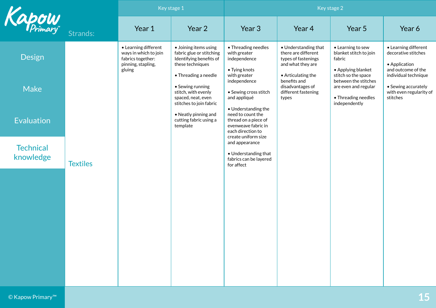|                               |                 | Key stage 1                                                                                        |                                                                                                                          | Key stage 2                                                                                                                                                          |                                                                                                                                                                                   |                                                                                                                                                                                            |                                                                                                                                                                          |
|-------------------------------|-----------------|----------------------------------------------------------------------------------------------------|--------------------------------------------------------------------------------------------------------------------------|----------------------------------------------------------------------------------------------------------------------------------------------------------------------|-----------------------------------------------------------------------------------------------------------------------------------------------------------------------------------|--------------------------------------------------------------------------------------------------------------------------------------------------------------------------------------------|--------------------------------------------------------------------------------------------------------------------------------------------------------------------------|
| Kapow                         | Strands:        | Year 1                                                                                             | Year 2                                                                                                                   | Year 3                                                                                                                                                               | Year 4                                                                                                                                                                            | Year 5                                                                                                                                                                                     | Year 6                                                                                                                                                                   |
| <b>Design</b>                 |                 | • Learning different<br>ways in which to join<br>fabrics together:<br>pinning, stapling,<br>gluing | • Joining items using<br>fabric glue or stitching<br>Identifying benefits of<br>these techniques<br>• Threading a needle | • Threading needles<br>with greater<br>independence<br>• Tying knots<br>with greater<br>independence<br>• Sewing cross stitch<br>and appliqué<br>• Understanding the | • Understanding that<br>there are different<br>types of fastenings<br>and what they are<br>• Articulating the<br>benefits and<br>disadvantages of<br>different fastening<br>types | • Learning to sew<br>blanket stitch to join<br>fabric<br>• Applying blanket<br>stitch so the space<br>between the stitches<br>are even and regular<br>• Threading needles<br>independently | • Learning different<br>decorative stitches<br>• Application<br>and outcome of the<br>individual technique<br>• Sewing accurately<br>with even regularity of<br>stitches |
| <b>Make</b>                   |                 |                                                                                                    | • Sewing running<br>stitch, with evenly<br>spaced, neat, even<br>stitches to join fabric                                 |                                                                                                                                                                      |                                                                                                                                                                                   |                                                                                                                                                                                            |                                                                                                                                                                          |
| Evaluation                    |                 |                                                                                                    | • Neatly pinning and<br>cutting fabric using a<br>template                                                               | need to count the<br>thread on a piece of<br>evenweave fabric in<br>each direction to<br>create uniform size                                                         |                                                                                                                                                                                   |                                                                                                                                                                                            |                                                                                                                                                                          |
| <b>Technical</b><br>knowledge | <b>Textiles</b> |                                                                                                    |                                                                                                                          | and appearance<br>• Understanding that<br>fabrics can be layered<br>for affect                                                                                       |                                                                                                                                                                                   |                                                                                                                                                                                            |                                                                                                                                                                          |
|                               |                 |                                                                                                    |                                                                                                                          |                                                                                                                                                                      |                                                                                                                                                                                   |                                                                                                                                                                                            |                                                                                                                                                                          |
|                               |                 |                                                                                                    |                                                                                                                          |                                                                                                                                                                      |                                                                                                                                                                                   |                                                                                                                                                                                            |                                                                                                                                                                          |
|                               |                 |                                                                                                    |                                                                                                                          |                                                                                                                                                                      |                                                                                                                                                                                   |                                                                                                                                                                                            |                                                                                                                                                                          |
|                               |                 |                                                                                                    |                                                                                                                          |                                                                                                                                                                      |                                                                                                                                                                                   |                                                                                                                                                                                            |                                                                                                                                                                          |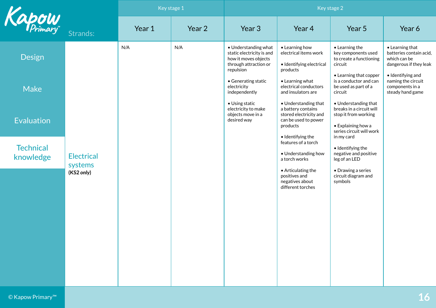|                               |                                            | Key stage 1 |        | Key stage 2                                                                                                                      |                                                                                                                                                                                                                                                                           |                                                                                     |                                                                                              |
|-------------------------------|--------------------------------------------|-------------|--------|----------------------------------------------------------------------------------------------------------------------------------|---------------------------------------------------------------------------------------------------------------------------------------------------------------------------------------------------------------------------------------------------------------------------|-------------------------------------------------------------------------------------|----------------------------------------------------------------------------------------------|
| Kapow                         | Strands:                                   | Year 1      | Year 2 | Year 3                                                                                                                           | Year 4                                                                                                                                                                                                                                                                    | Year 5                                                                              | Year 6                                                                                       |
| <b>Design</b>                 |                                            | N/A         | N/A    | • Understanding what<br>static electricity is and<br>how it moves objects<br>through attraction or<br>repulsion                  | • Learning how<br>electrical items work<br>· Identifying electrical<br>products                                                                                                                                                                                           | $\bullet$ Learning the<br>key components used<br>to create a functioning<br>circuit | $\bullet$ Learning that<br>batteries contain acid,<br>which can be<br>dangerous if they leak |
| <b>Make</b>                   |                                            |             |        | • Generating static<br>electricity<br>independently<br>• Using static<br>electricity to make<br>objects move in a<br>desired way | • Learning what<br>electrical conductors<br>and insulators are                                                                                                                                                                                                            | • Learning that copper<br>is a conductor and can<br>be used as part of a<br>circuit | • Identifying and<br>naming the circuit<br>components in a<br>steady hand game               |
| Evaluation                    | <b>Electrical</b><br>systems<br>(KS2 only) |             |        |                                                                                                                                  | • Understanding that<br>• Understanding that<br>breaks in a circuit will<br>a battery contains<br>stored electricity and<br>stop it from working<br>can be used to power<br>• Explaining how a<br>products<br>series circuit will work<br>· Identifying the<br>in my card |                                                                                     |                                                                                              |
| <b>Technical</b><br>knowledge |                                            |             |        |                                                                                                                                  | features of a torch<br>• Understanding how<br>a torch works                                                                                                                                                                                                               | • Identifying the<br>negative and positive<br>leg of an LED                         |                                                                                              |
|                               |                                            |             |        |                                                                                                                                  | • Articulating the<br>positives and<br>negatives about<br>different torches                                                                                                                                                                                               | • Drawing a series<br>circuit diagram and<br>symbols                                |                                                                                              |
|                               |                                            |             |        |                                                                                                                                  |                                                                                                                                                                                                                                                                           |                                                                                     |                                                                                              |
|                               |                                            |             |        |                                                                                                                                  |                                                                                                                                                                                                                                                                           |                                                                                     |                                                                                              |
|                               |                                            |             |        |                                                                                                                                  |                                                                                                                                                                                                                                                                           |                                                                                     |                                                                                              |